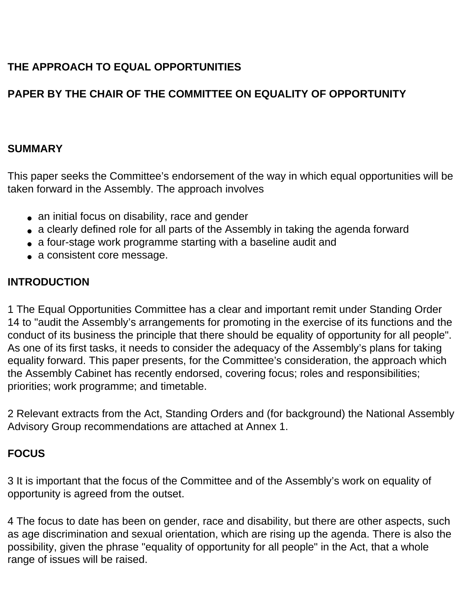# **THE APPROACH TO EQUAL OPPORTUNITIES**

# **PAPER BY THE CHAIR OF THE COMMITTEE ON EQUALITY OF OPPORTUNITY**

### **SUMMARY**

This paper seeks the Committee's endorsement of the way in which equal opportunities will be taken forward in the Assembly. The approach involves

- an initial focus on disability, race and gender
- a clearly defined role for all parts of the Assembly in taking the agenda forward
- a four-stage work programme starting with a baseline audit and
- a consistent core message.

## **INTRODUCTION**

1 The Equal Opportunities Committee has a clear and important remit under Standing Order 14 to "audit the Assembly's arrangements for promoting in the exercise of its functions and the conduct of its business the principle that there should be equality of opportunity for all people". As one of its first tasks, it needs to consider the adequacy of the Assembly's plans for taking equality forward. This paper presents, for the Committee's consideration, the approach which the Assembly Cabinet has recently endorsed, covering focus; roles and responsibilities; priorities; work programme; and timetable.

2 Relevant extracts from the Act, Standing Orders and (for background) the National Assembly Advisory Group recommendations are attached at Annex 1.

# **FOCUS**

3 It is important that the focus of the Committee and of the Assembly's work on equality of opportunity is agreed from the outset.

4 The focus to date has been on gender, race and disability, but there are other aspects, such as age discrimination and sexual orientation, which are rising up the agenda. There is also the possibility, given the phrase "equality of opportunity for all people" in the Act, that a whole range of issues will be raised.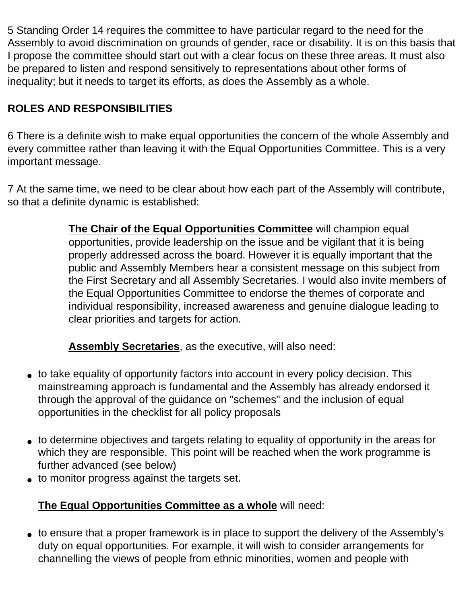5 Standing Order 14 requires the committee to have particular regard to the need for the Assembly to avoid discrimination on grounds of gender, race or disability. It is on this basis that I propose the committee should start out with a clear focus on these three areas. It must also be prepared to listen and respond sensitively to representations about other forms of inequality; but it needs to target its efforts, as does the Assembly as a whole.

# **ROLES AND RESPONSIBILITIES**

6 There is a definite wish to make equal opportunities the concern of the whole Assembly and every committee rather than leaving it with the Equal Opportunities Committee. This is a very important message.

7 At the same time, we need to be clear about how each part of the Assembly will contribute, so that a definite dynamic is established:

> **The Chair of the Equal Opportunities Committee** will champion equal opportunities, provide leadership on the issue and be vigilant that it is being properly addressed across the board. However it is equally important that the public and Assembly Members hear a consistent message on this subject from the First Secretary and all Assembly Secretaries. I would also invite members of the Equal Opportunities Committee to endorse the themes of corporate and individual responsibility, increased awareness and genuine dialogue leading to clear priorities and targets for action.

**Assembly Secretaries**, as the executive, will also need:

- to take equality of opportunity factors into account in every policy decision. This mainstreaming approach is fundamental and the Assembly has already endorsed it through the approval of the guidance on "schemes" and the inclusion of equal opportunities in the checklist for all policy proposals
- to determine objectives and targets relating to equality of opportunity in the areas for which they are responsible. This point will be reached when the work programme is further advanced (see below)
- to monitor progress against the targets set.

# **The Equal Opportunities Committee as a whole** will need:

• to ensure that a proper framework is in place to support the delivery of the Assembly's duty on equal opportunities. For example, it will wish to consider arrangements for channelling the views of people from ethnic minorities, women and people with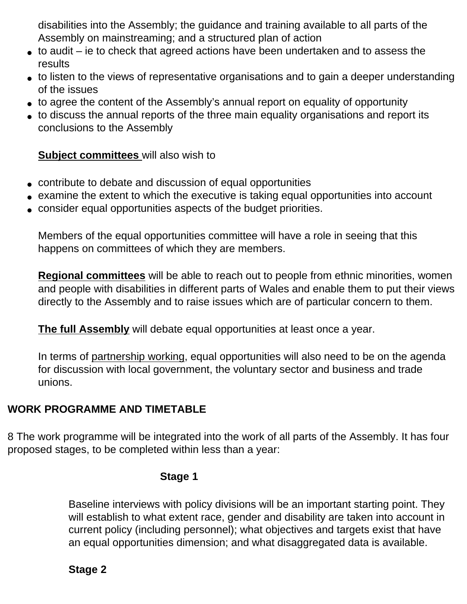disabilities into the Assembly; the guidance and training available to all parts of the Assembly on mainstreaming; and a structured plan of action

- $\bullet$  to audit ie to check that agreed actions have been undertaken and to assess the results
- to listen to the views of representative organisations and to gain a deeper understanding of the issues
- to agree the content of the Assembly's annual report on equality of opportunity
- to discuss the annual reports of the three main equality organisations and report its conclusions to the Assembly

### **Subject committees** will also wish to

- contribute to debate and discussion of equal opportunities
- examine the extent to which the executive is taking equal opportunities into account
- consider equal opportunities aspects of the budget priorities.

Members of the equal opportunities committee will have a role in seeing that this happens on committees of which they are members.

**Regional committees** will be able to reach out to people from ethnic minorities, women and people with disabilities in different parts of Wales and enable them to put their views directly to the Assembly and to raise issues which are of particular concern to them.

**The full Assembly** will debate equal opportunities at least once a year.

In terms of partnership working, equal opportunities will also need to be on the agenda for discussion with local government, the voluntary sector and business and trade unions.

### **WORK PROGRAMME AND TIMETABLE**

8 The work programme will be integrated into the work of all parts of the Assembly. It has four proposed stages, to be completed within less than a year:

#### **Stage 1**

Baseline interviews with policy divisions will be an important starting point. They will establish to what extent race, gender and disability are taken into account in current policy (including personnel); what objectives and targets exist that have an equal opportunities dimension; and what disaggregated data is available.

# **Stage 2**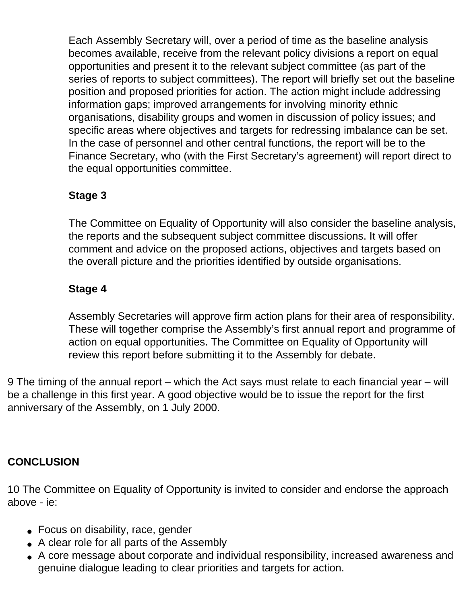Each Assembly Secretary will, over a period of time as the baseline analysis becomes available, receive from the relevant policy divisions a report on equal opportunities and present it to the relevant subject committee (as part of the series of reports to subject committees). The report will briefly set out the baseline position and proposed priorities for action. The action might include addressing information gaps; improved arrangements for involving minority ethnic organisations, disability groups and women in discussion of policy issues; and specific areas where objectives and targets for redressing imbalance can be set. In the case of personnel and other central functions, the report will be to the Finance Secretary, who (with the First Secretary's agreement) will report direct to the equal opportunities committee.

# **Stage 3**

The Committee on Equality of Opportunity will also consider the baseline analysis, the reports and the subsequent subject committee discussions. It will offer comment and advice on the proposed actions, objectives and targets based on the overall picture and the priorities identified by outside organisations.

# **Stage 4**

Assembly Secretaries will approve firm action plans for their area of responsibility. These will together comprise the Assembly's first annual report and programme of action on equal opportunities. The Committee on Equality of Opportunity will review this report before submitting it to the Assembly for debate.

9 The timing of the annual report – which the Act says must relate to each financial year – will be a challenge in this first year. A good objective would be to issue the report for the first anniversary of the Assembly, on 1 July 2000.

# **CONCLUSION**

10 The Committee on Equality of Opportunity is invited to consider and endorse the approach above - ie:

- Focus on disability, race, gender
- A clear role for all parts of the Assembly
- A core message about corporate and individual responsibility, increased awareness and genuine dialogue leading to clear priorities and targets for action.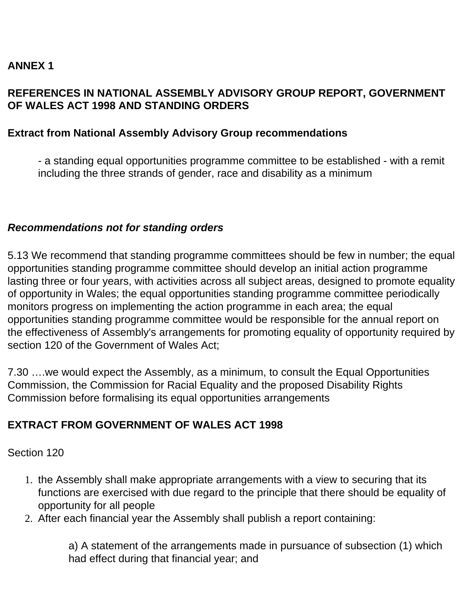## **ANNEX 1**

#### **REFERENCES IN NATIONAL ASSEMBLY ADVISORY GROUP REPORT, GOVERNMENT OF WALES ACT 1998 AND STANDING ORDERS**

#### **Extract from National Assembly Advisory Group recommendations**

- a standing equal opportunities programme committee to be established - with a remit including the three strands of gender, race and disability as a minimum

#### *Recommendations not for standing orders*

5.13 We recommend that standing programme committees should be few in number; the equal opportunities standing programme committee should develop an initial action programme lasting three or four years, with activities across all subject areas, designed to promote equality of opportunity in Wales; the equal opportunities standing programme committee periodically monitors progress on implementing the action programme in each area; the equal opportunities standing programme committee would be responsible for the annual report on the effectiveness of Assembly's arrangements for promoting equality of opportunity required by section 120 of the Government of Wales Act;

7.30 ….we would expect the Assembly, as a minimum, to consult the Equal Opportunities Commission, the Commission for Racial Equality and the proposed Disability Rights Commission before formalising its equal opportunities arrangements

### **EXTRACT FROM GOVERNMENT OF WALES ACT 1998**

Section 120

- 1. the Assembly shall make appropriate arrangements with a view to securing that its functions are exercised with due regard to the principle that there should be equality of opportunity for all people
- 2. After each financial year the Assembly shall publish a report containing:

a) A statement of the arrangements made in pursuance of subsection (1) which had effect during that financial year; and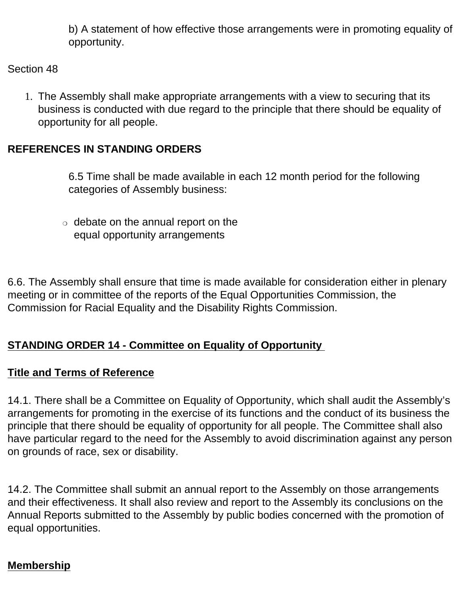b) A statement of how effective those arrangements were in promoting equality of opportunity.

#### Section 48

1. The Assembly shall make appropriate arrangements with a view to securing that its business is conducted with due regard to the principle that there should be equality of opportunity for all people.

## **REFERENCES IN STANDING ORDERS**

6.5 Time shall be made available in each 12 month period for the following categories of Assembly business:

 $\circ$  debate on the annual report on the equal opportunity arrangements

6.6. The Assembly shall ensure that time is made available for consideration either in plenary meeting or in committee of the reports of the Equal Opportunities Commission, the Commission for Racial Equality and the Disability Rights Commission.

# **STANDING ORDER 14 - Committee on Equality of Opportunity**

### **Title and Terms of Reference**

14.1. There shall be a Committee on Equality of Opportunity, which shall audit the Assembly's arrangements for promoting in the exercise of its functions and the conduct of its business the principle that there should be equality of opportunity for all people. The Committee shall also have particular regard to the need for the Assembly to avoid discrimination against any person on grounds of race, sex or disability.

14.2. The Committee shall submit an annual report to the Assembly on those arrangements and their effectiveness. It shall also review and report to the Assembly its conclusions on the Annual Reports submitted to the Assembly by public bodies concerned with the promotion of equal opportunities.

### **Membership**